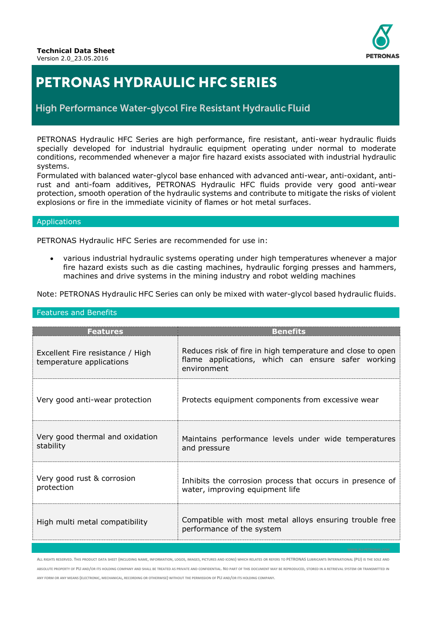

# **PETRONAS HYDRAULIC HFC SERIES**

High Performance Water-glycol Fire Resistant Hydraulic Fluid

PETRONAS Hydraulic HFC Series are high performance, fire resistant, anti-wear hydraulic fluids specially developed for industrial hydraulic equipment operating under normal to moderate conditions, recommended whenever a major fire hazard exists associated with industrial hydraulic systems.

Formulated with balanced water-glycol base enhanced with advanced anti-wear, anti-oxidant, antirust and anti-foam additives, PETRONAS Hydraulic HFC fluids provide very good anti-wear protection, smooth operation of the hydraulic systems and contribute to mitigate the risks of violent explosions or fire in the immediate vicinity of flames or hot metal surfaces.

#### Applications

PETRONAS Hydraulic HFC Series are recommended for use in:

 various industrial hydraulic systems operating under high temperatures whenever a major fire hazard exists such as die casting machines, hydraulic forging presses and hammers, machines and drive systems in the mining industry and robot welding machines

Note: PETRONAS Hydraulic HFC Series can only be mixed with water-glycol based hydraulic fluids.

| <b>Features</b>                                              | <b>Benefits</b>                                                                                                                 |  |  |
|--------------------------------------------------------------|---------------------------------------------------------------------------------------------------------------------------------|--|--|
| Excellent Fire resistance / High<br>temperature applications | Reduces risk of fire in high temperature and close to open<br>flame applications, which can ensure safer working<br>environment |  |  |
| Very good anti-wear protection                               | Protects equipment components from excessive wear                                                                               |  |  |
| Very good thermal and oxidation<br>stability                 | Maintains performance levels under wide temperatures<br>and pressure                                                            |  |  |
| Very good rust & corrosion<br>protection                     | Inhibits the corrosion process that occurs in presence of<br>water, improving equipment life                                    |  |  |
| High multi metal compatibility                               | Compatible with most metal alloys ensuring trouble free<br>performance of the system                                            |  |  |

Features and Benefits

ALL RIGHTS RESERVED. THIS PRODUCT DATA SHEET (INCLUDING NAME, INFORMATION, LOGOS, IMAGES, PICTURES AND ICONS) WHICH RELATES OR REFERS TO PETRONAS LUBRICANTS INTERNATIONAL (PLI) IS THE SOLE AND ABSOLUTE PROPERTY OF PLI AND/OR ITS HOLDING COMPANY AND SHALL BE TREATED AS PRIVATE AND CONFIDENTIAL. NO PART OF THIS DOCUMENT MAY BE REPRODUCED, STORED IN A RETRIEVAL SYSTEM OR TRANSMITTED IN ANY FORM OR ANY MEANS (ELECTRONIC, MECHANICAL, RECORDING OR OTHERWISE) WITHOUT THE PERMISSION OF PLI AND/OR ITS HOLDING COMPANY.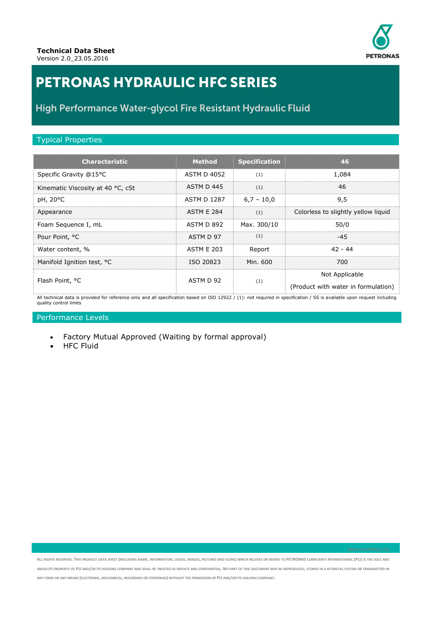

# **PETRONAS HYDRAULIC HFC SERIES**

### High Performance Water-glycol Fire Resistant Hydraulic Fluid

#### Typical Properties

| <b>Characteristic</b>             | <b>Method</b>      | <b>Specification</b> | 46                                                    |
|-----------------------------------|--------------------|----------------------|-------------------------------------------------------|
| Specific Gravity @15°C            | <b>ASTM D 4052</b> | (1)                  | 1,084                                                 |
| Kinematic Viscosity at 40 °C, cSt | ASTM D 445         | (1)                  | 46                                                    |
| pH, 20°C                          | <b>ASTM D 1287</b> | $6,7 - 10,0$         | 9,5                                                   |
| Appearance                        | <b>ASTM E 284</b>  | (1)                  | Colorless to slightly yellow liquid                   |
| Foam Sequence I, mL               | ASTM D 892         | Max. 300/10          | 50/0                                                  |
| Pour Point, °C                    | ASTM D 97          | (1)                  | $-45$                                                 |
| Water content, %                  | <b>ASTM E 203</b>  | Report               | $42 - 44$                                             |
| Manifold Ignition test, °C        | ISO 20823          | Min. 600             | 700                                                   |
| Flash Point, °C                   | ASTM D 92          | (1)                  | Not Applicable<br>(Product with water in formulation) |

All technical data is provided for reference only and all specification based on ISO 12922 / (1): not required in specification / SS is available upon request including quality control limits

### Performance Levels

- Factory Mutual Approved (Waiting by formal approval)
- HFC Fluid

ALL RIGHTS RESERVED. THIS PRODUCT DATA SHEET (INCLUDING NAME, INFORMATION, LOGOS, IMAGES, PICTURES AND ICONS) WHICH RELATES OR REFERS TO PETRONAS LUBRICANTS INTERNATIONAL (PLI) IS THE SOLE AND ABSOLUTE PROPERTY OF PLI AND/OR ITS HOLDING COMPANY AND SHALL BE TREATED AS PRIVATE AND CONFIDENTIAL. NO PART OF THIS DOCUMENT MAY BE REPRODUCED, STORED IN A RETRIEVAL SYSTEM OR TRANSMITTED IN ANY FORM OR ANY MEANS (ELECTRONIC, MECHANICAL, RECORDING OR OTHERWISE) WITHOUT THE PERMISSION OF PLI AND/OR ITS HOLDING COMPANY.